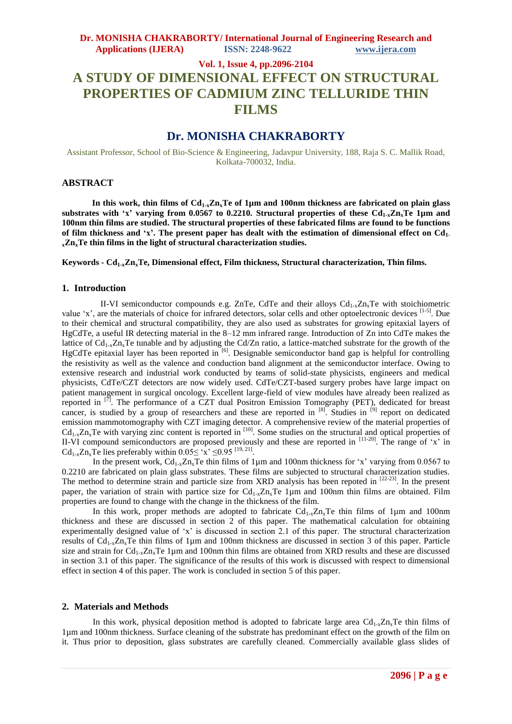# **Vol. 1, Issue 4, pp.2096-2104 A STUDY OF DIMENSIONAL EFFECT ON STRUCTURAL PROPERTIES OF CADMIUM ZINC TELLURIDE THIN FILMS**

# **Dr. MONISHA CHAKRABORTY**

Assistant Professor, School of Bio-Science & Engineering, Jadavpur University, 188, Raja S. C. Mallik Road, Kolkata-700032, India.

### **ABSTRACT**

In this work, thin films of  $Cd_{1-x}Zn_xTe$  of 1 $\mu$ m and 100nm thickness are fabricated on plain glass **substrates with 'x' varying from 0.0567 to 0.2210. Structural properties of these Cd1-xZnxTe 1µm and 100nm thin films are studied. The structural properties of these fabricated films are found to be functions of film thickness and 'x'. The present paper has dealt with the estimation of dimensional effect on Cd1 <sup>x</sup>ZnxTe thin films in the light of structural characterization studies.**

**Keywords - Cd1-xZnxTe, Dimensional effect, Film thickness, Structural characterization, Thin films.**

### **1. Introduction**

II-VI semiconductor compounds e.g. ZnTe, CdTe and their alloys  $Cd_{1-x}Z_{1x}Te$  with stoichiometric value 'x', are the materials of choice for infrared detectors, solar cells and other optoelectronic devices [1-5]. Due to their chemical and structural compatibility, they are also used as substrates for growing epitaxial layers of HgCdTe, a useful IR detecting material in the 8–12 mm infrared range. Introduction of Zn into CdTe makes the lattice of  $Cd_{1-x}Zn_xTe$  tunable and by adjusting the Cd/Zn ratio, a lattice-matched substrate for the growth of the HgCdTe epitaxial layer has been reported in <sup>[6]</sup>. Designable semiconductor band gap is helpful for controlling the resistivity as well as the valence and conduction band alignment at the semiconductor interface. Owing to extensive research and industrial work conducted by teams of solid-state physicists, engineers and medical physicists, CdTe/CZT detectors are now widely used. CdTe/CZT-based surgery probes have large impact on patient management in surgical oncology. Excellent large-field of view modules have already been realized as reported in  $\left[\overline{7}\right]$ . The performance of a CZT dual Positron Emission Tomography (PET), dedicated for breast cancer, is studied by a group of researchers and these are reported in <sup>[8]</sup>. Studies in <sup>[9]</sup> report on dedicated emission mammotomography with CZT imaging detector. A comprehensive review of the material properties of  $Cd_{1-x}Zn_xTe$  with varying zinc content is reported in  $^{[10]}$ . Some studies on the structural and optical properties of II-VI compound semiconductors are proposed previously and these are reported in [11-20]. The range of 'x' in Cd<sub>1-x</sub>Zn<sub>x</sub>Te lies preferably within  $0.05 \leq x \leq 0.95$  <sup>[19, 21]</sup>.

In the present work,  $Cd_{1-x}Zn_xTe$  thin films of 1µm and 100nm thickness for 'x' varying from 0.0567 to 0.2210 are fabricated on plain glass substrates. These films are subjected to structural characterization studies. The method to determine strain and particle size from XRD analysis has been repoted in  $[22-23]$ . In the present paper, the variation of strain with partice size for  $Cd_{1-x}Zn_xTe$  1µm and 100nm thin films are obtained. Film properties are found to change with the change in the thickness of the film.

In this work, proper methods are adopted to fabricate  $Cd_{1-x}Z_{n_x}Te$  thin films of 1µm and 100nm thickness and these are discussed in section 2 of this paper. The mathematical calculation for obtaining experimentally designed value of 'x' is discussed in section 2.1 of this paper. The structural characterization results of  $Cd_{1-x}Zn_xTe$  thin films of 1µm and 100nm thickness are discussed in section 3 of this paper. Particle size and strain for  $Cd_{1x}Zn_xTe$  1µm and 100nm thin films are obtained from XRD results and these are discussed in section 3.1 of this paper. The significance of the results of this work is discussed with respect to dimensional effect in section 4 of this paper. The work is concluded in section 5 of this paper.

### **2. Materials and Methods**

In this work, physical deposition method is adopted to fabricate large area  $Cd_{1-x}Z_{1-x}Te$  thin films of 1µm and 100nm thickness. Surface cleaning of the substrate has predominant effect on the growth of the film on it. Thus prior to deposition, glass substrates are carefully cleaned. Commercially available glass slides of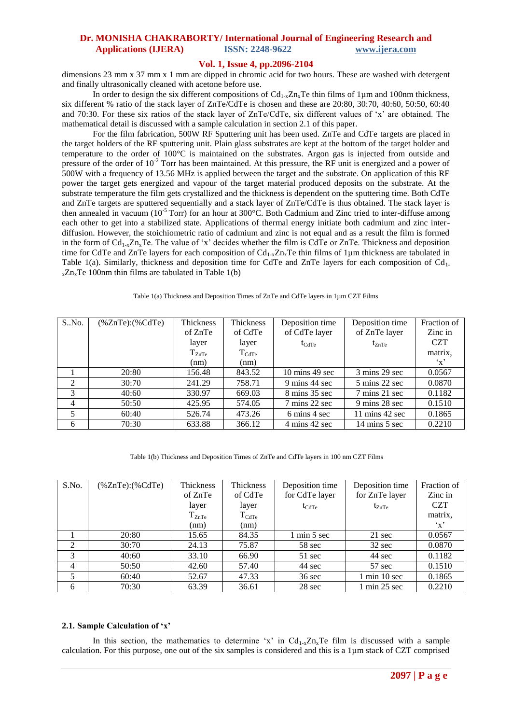## **Vol. 1, Issue 4, pp.2096-2104**

dimensions 23 mm x 37 mm x 1 mm are dipped in chromic acid for two hours. These are washed with detergent and finally ultrasonically cleaned with acetone before use.

In order to design the six different compositions of  $Cd_{1-x}Zn_xTe$  thin films of 1 $\mu$ m and 100nm thickness, six different % ratio of the stack layer of ZnTe/CdTe is chosen and these are 20:80, 30:70, 40:60, 50:50, 60:40 and 70:30. For these six ratios of the stack layer of ZnTe/CdTe, six different values of 'x' are obtained. The mathematical detail is discussed with a sample calculation in section 2.1 of this paper.

For the film fabrication, 500W RF Sputtering unit has been used. ZnTe and CdTe targets are placed in the target holders of the RF sputtering unit. Plain glass substrates are kept at the bottom of the target holder and temperature to the order of 100°C is maintained on the substrates. Argon gas is injected from outside and pressure of the order of 10<sup>-2</sup> Torr has been maintained. At this pressure, the RF unit is energized and a power of 500W with a frequency of 13.56 MHz is applied between the target and the substrate. On application of this RF power the target gets energized and vapour of the target material produced deposits on the substrate. At the substrate temperature the film gets crystallized and the thickness is dependent on the sputtering time. Both CdTe and ZnTe targets are sputtered sequentially and a stack layer of ZnTe/CdTe is thus obtained. The stack layer is then annealed in vacuum (10<sup>-5</sup> Torr) for an hour at 300°C. Both Cadmium and Zinc tried to inter-diffuse among each other to get into a stabilized state. Applications of thermal energy initiate both cadmium and zinc interdiffusion. However, the stoichiometric ratio of cadmium and zinc is not equal and as a result the film is formed in the form of  $Cd_{1x}Z_n$ , Te. The value of 'x' decides whether the film is  $CdTe$  or  $ZnTe$ . Thickness and deposition time for CdTe and ZnTe layers for each composition of  $Cd_{1-x}Zn_xTe$  thin films of 1um thickness are tabulated in Table 1(a). Similarly, thickness and deposition time for CdTe and ZnTe layers for each composition of  $Cd<sub>1</sub>$ .  $x \text{Zn}_x \text{Te}$  100nm thin films are tabulated in Table 1(b)

#### Table 1(a) Thickness and Deposition Times of ZnTe and CdTe layers in 1µm CZT Films

| S.No.          | $%ZnTe$ : $%CdTe$ | Thickness  | Thickness      | Deposition time                  | Deposition time                   | Fraction of  |
|----------------|-------------------|------------|----------------|----------------------------------|-----------------------------------|--------------|
|                |                   | of ZnTe    | of CdTe        | of CdTe layer                    | of ZnTe layer                     | Zinc in      |
|                |                   | layer      | layer          | $t_{CdTe}$                       | $t_{ZnTe}$                        | <b>CZT</b>   |
|                |                   | $T_{ZnTe}$ | $\rm T_{CdTe}$ |                                  |                                   | matrix.      |
|                |                   | (nm)       | (nm)           |                                  |                                   | $\mathbf{x}$ |
|                | 20:80             | 156.48     | 843.52         | $10 \text{ mins} 49 \text{ sec}$ | 3 mins 29 sec                     | 0.0567       |
| 2              | 30:70             | 241.29     | 758.71         | 9 mins 44 sec                    | 5 mins 22 sec                     | 0.0870       |
| $\mathcal{R}$  | 40:60             | 330.97     | 669.03         | $8 \text{ mins } 35 \text{ sec}$ | 7 mins 21 sec                     | 0.1182       |
| $\overline{4}$ | 50:50             | 425.95     | 574.05         | 7 mins 22 sec                    | 9 mins 28 sec                     | 0.1510       |
| 5              | 60:40             | 526.74     | 473.26         | 6 mins 4 sec                     | $11 \text{ mins } 42 \text{ sec}$ | 0.1865       |
| 6              | 70:30             | 633.88     | 366.12         | 4 mins 42 sec                    | $14 \text{ mins} 5 \text{ sec}$   | 0.2210       |

Table 1(b) Thickness and Deposition Times of ZnTe and CdTe layers in 100 nm CZT Films

| S.No.          | $%ZnTe$ : $%CdTe$ | <b>Thickness</b>    | <b>Thickness</b>    | Deposition time                | Deposition time                 | Fraction of   |
|----------------|-------------------|---------------------|---------------------|--------------------------------|---------------------------------|---------------|
|                |                   | of ZnTe             | of CdTe             | for CdTe layer                 | for ZnTe layer                  | Zinc in       |
|                |                   | layer               | layer               | $t_{\text{CdTe}}$              | $t_{ZnTe}$                      | <b>CZT</b>    |
|                |                   | $\mathrm{T_{ZnTe}}$ | $T_{\mathrm{CdTe}}$ |                                |                                 | matrix,       |
|                |                   | (nm)                | (nm)                |                                |                                 | $\mathbf{x}'$ |
|                | 20:80             | 15.65               | 84.35               | $1 \text{ min } 5 \text{ sec}$ | 21 sec                          | 0.0567        |
| 2              | 30:70             | 24.13               | 75.87               | 58 sec                         | 32 sec                          | 0.0870        |
| 3              | 40:60             | 33.10               | 66.90               | 51 sec                         | 44 sec                          | 0.1182        |
| $\overline{4}$ | 50:50             | 42.60               | 57.40               | 44 sec                         | 57 sec                          | 0.1510        |
| 5              | 60:40             | 52.67               | 47.33               | $36 \text{ sec}$               | 1 min 10 sec                    | 0.1865        |
| 6              | 70:30             | 63.39               | 36.61               | 28 sec                         | $1 \text{ min } 25 \text{ sec}$ | 0.2210        |

#### **2.1. Sample Calculation of 'x'**

In this section, the mathematics to determine 'x' in  $Cd_{1-x}Z_{1x}Te$  film is discussed with a sample calculation. For this purpose, one out of the six samples is considered and this is a 1µm stack of CZT comprised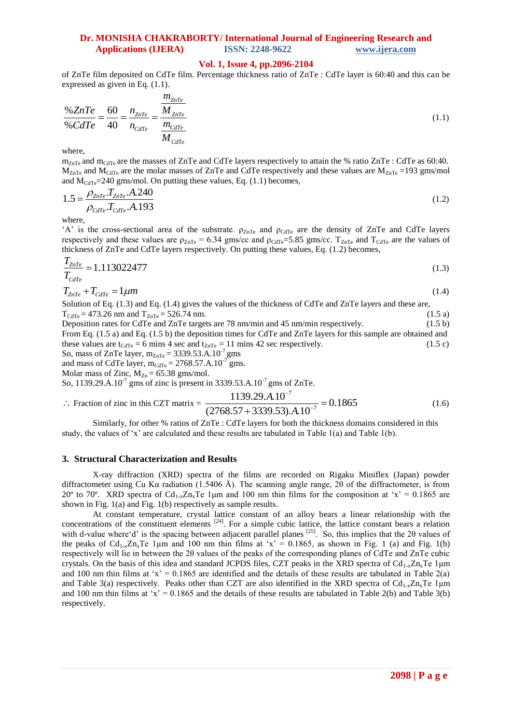## **Vol. 1, Issue 4, pp.2096-2104**

of ZnTe film deposited on CdTe film. Percentage thickness ratio of ZnTe : CdTe layer is 60:40 and this can be expressed as given in Eq.  $(1.1)$ .

$$
\frac{\% ZnTe}{\% CdTe} = \frac{60}{40} = \frac{n_{ZnTe}}{n_{CdTe}} = \frac{\frac{m_{ZnTe}}{M_{ZnTe}}}{\frac{m_{CdTe}}{M_{CdTe}}} \tag{1.1}
$$

where,

 $m_{ZnTe}$  and  $m_{CdTe}$  are the masses of ZnTe and CdTe layers respectively to attain the % ratio ZnTe : CdTe as 60:40.  $M_{ZnTe}$  and  $M_{CdTe}$  are the molar masses of ZnTe and CdTe respectively and these values are  $M_{ZnTe}$  =193 gms/mol

and M<sub>CdTe</sub>=240 gms/mol. On putting these values, Eq. (1.1) becomes,  
\n
$$
1.5 = \frac{\rho_{ZnTe} T_{ZnTe} A.240}{\rho_{cdTe} T_{cdTe} A.193}
$$
\n(1.2)

where,

'A' is the cross-sectional area of the substrate.  $\rho_{ZnTe}$  and  $\rho_{CdTe}$  are the density of ZnTe and CdTe layers respectively and these values are  $\rho_{ZnTe} = 6.34$  gms/cc and  $\rho_{CdTe} = 5.85$  gms/cc.  $T_{ZnTe}$  and  $T_{CdTe}$  are the values of thickness of ZnTe and CdTe layers respectively. On putting these values, Eq. (1.2) becomes,

$$
\frac{T_{ZnTe}}{T_{CdTe}} = 1.113022477\tag{1.3}
$$

$$
T_{ZnTe} + T_{CdTe} = 1 \mu m \tag{1.4}
$$

Solution of Eq. (1.3) and Eq. (1.4) gives the values of the thickness of CdTe and ZnTe layers and these are,  $T_{\text{CdTe}}$  = 473.26 nm and  $T_{\text{ZnTe}}$  = 526.74 nm.<br>Deposition rates for CdTe and ZnTe targets are 78 nm/min and 45 nm/min respectively. (1.5 b) Deposition rates for CdTe and ZnTe targets are 78 nm/min and 45 nm/min respectively.

From Eq. (1.5 a) and Eq. (1.5 b) the deposition times for CdTe and ZnTe layers for this sample are obtained and these values are t<sub>CdTe</sub> = 6 mins 4 sec and t<sub>ZnTe</sub> = 11 mins 42 sec respectively. (1.5 c) So, mass of ZnTe layer,  $m_{ZnTe} = 3339.53.A.10^{-7}$  gms

and mass of CdTe layer,  $m_{\text{CdTe}} = 2768.57$ .A.10<sup>-7</sup> gms.

Molar mass of Zinc,  $M_{Zn} = 65.38$  gms/mol.

So, 1139.29.A.10<sup>-7</sup> gms of zinc is present in 3339.53.A.10<sup>-7</sup> gms of ZnTe.  
\n
$$
\therefore
$$
 Fraction of zinc in this CZT matrix = 
$$
\frac{1139.29.A.10^{-7}}{(2768.57 + 3339.53).A.10^{-7}} = 0.1865
$$
 (1.6)

Similarly, for other % ratios of ZnTe : CdTe layers for both the thickness domains considered in this study, the values of 'x' are calculated and these results are tabulated in Table 1(a) and Table 1(b).

### **3. Structural Characterization and Results**

X-ray diffraction (XRD) spectra of the films are recorded on Rigaku Miniflex (Japan) powder diffractometer using Cu Kα radiation (1.5406 Å). The scanning angle range, 2θ of the diffractometer, is from 20° to 70°. XRD spectra of Cd<sub>1-x</sub>Zn<sub>x</sub>Te 1<sub>km</sub> and 100 nm thin films for the composition at 'x' = 0.1865 are shown in Fig. 1(a) and Fig. 1(b) respectively as sample results.

At constant temperature, crystal lattice constant of an alloy bears a linear relationship with the concentrations of the constituent elements  $[24]$ . For a simple cubic lattice, the lattice constant bears a relation with d-value where'd' is the spacing between adjacent parallel planes  $^{[25]}$ . So, this implies that the 20 values of the peaks of  $Cd_{1-x}Zn_xTe$  1µm and 100 nm thin films at 'x' = 0.1865, as shown in Fig. 1 (a) and Fig. 1(b) respectively will lie in between the 2θ values of the peaks of the corresponding planes of CdTe and ZnTe cubic crystals. On the basis of this idea and standard JCPDS files, CZT peaks in the XRD spectra of  $Cd_{1-x}Zn_xTe$  1µm and 100 nm thin films at 'x' = 0.1865 are identified and the details of these results are tabulated in Table 2(a) and Table 3(a) respectively. Peaks other than CZT are also identified in the XRD spectra of  $Cd_{1-x}Zn_xTe$  1µm and 100 nm thin films at 'x' =  $0.1865$  and the details of these results are tabulated in Table 2(b) and Table 3(b) respectively.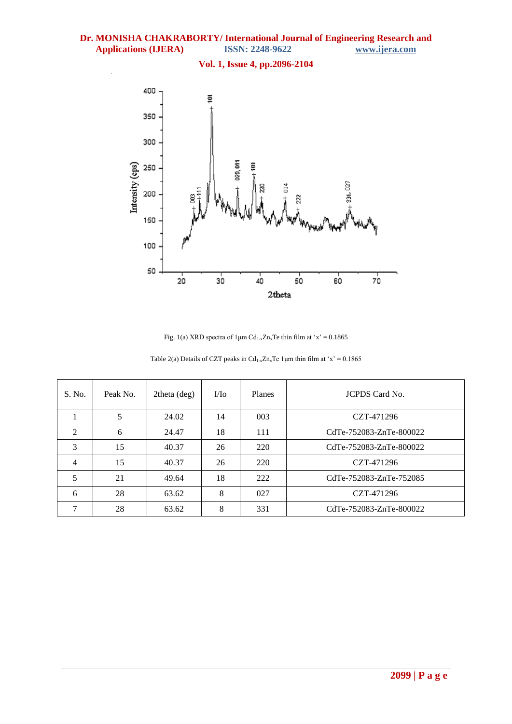

Fig. 1(a) XRD spectra of  $1\mu$ m Cd<sub>1-x</sub>Zn<sub>x</sub>Te thin film at 'x' = 0.1865

| S. No.         | Peak No. | 2theta (deg) | $\rm M\alpha$ | Planes | <b>JCPDS</b> Card No.   |
|----------------|----------|--------------|---------------|--------|-------------------------|
|                | 5        | 24.02        | 14            | 003    | CZT-471296              |
| $\overline{2}$ | 6        | 24.47        | 18            | 111    | CdTe-752083-ZnTe-800022 |
| 3              | 15       | 40.37        | 26            | 220    | CdTe-752083-ZnTe-800022 |
| $\overline{4}$ | 15       | 40.37        | 26            | 220    | CZT-471296              |
| 5              | 21       | 49.64        | 18            | 222    | CdTe-752083-ZnTe-752085 |
| 6              | 28       | 63.62        | 8             | 027    | CZT-471296              |
|                | 28       | 63.62        | 8             | 331    | CdTe-752083-ZnTe-800022 |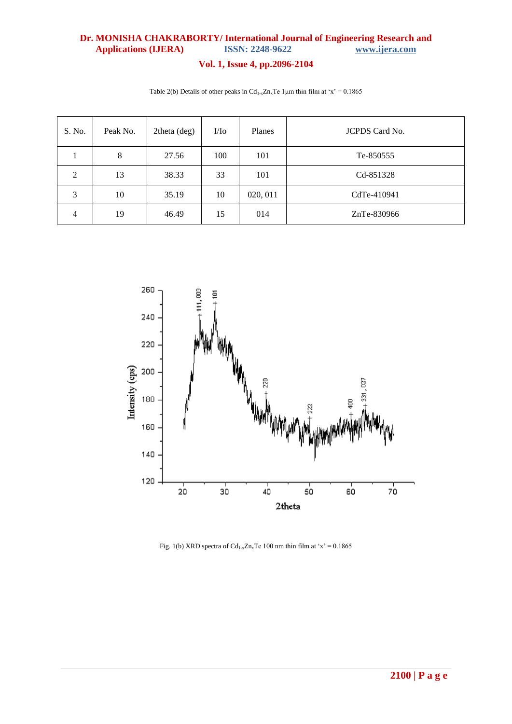# **Vol. 1, Issue 4, pp.2096-2104**

| S. No. | Peak No. | 2theta (deg) | $\rm UIo$ | Planes   | <b>JCPDS</b> Card No. |
|--------|----------|--------------|-----------|----------|-----------------------|
|        | 8        | 27.56        | 100       | 101      | Te-850555             |
| 2      | 13       | 38.33        | 33        | 101      | Cd-851328             |
| 3      | 10       | 35.19        | 10        | 020, 011 | CdTe-410941           |
| 4      | 19       | 46.49        | 15        | 014      | ZnTe-830966           |

Table 2(b) Details of other peaks in  $Cd_{1-x}Zn_xTe$  1 µm thin film at 'x' = 0.1865



Fig. 1(b) XRD spectra of  $Cd_{1-x}Zn_xTe$  100 nm thin film at 'x' = 0.1865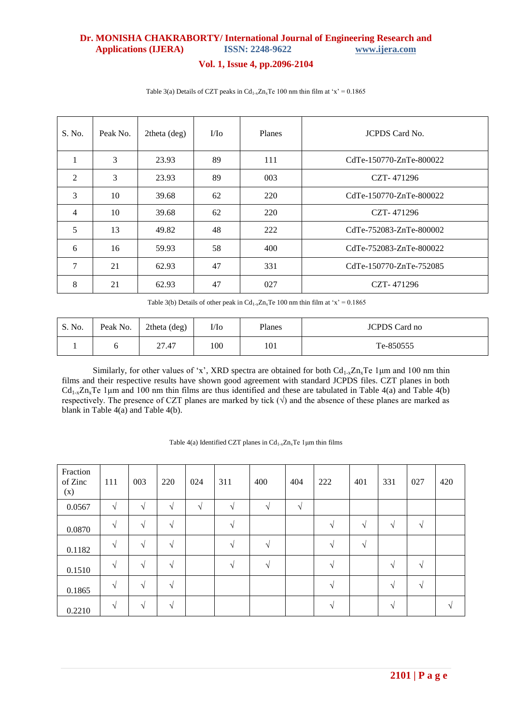# **Vol. 1, Issue 4, pp.2096-2104**

| S. No.         | Peak No. | $2$ theta $(\text{deg})$ | $\rm M\alpha$ | Planes | <b>JCPDS</b> Card No.   |
|----------------|----------|--------------------------|---------------|--------|-------------------------|
| $\mathbf{1}$   | 3        | 23.93                    | 89            | 111    | CdTe-150770-ZnTe-800022 |
| $\overline{2}$ | 3        | 23.93                    | 89            | 003    | CZT-471296              |
| 3              | 10       | 39.68                    | 62            | 220    | CdTe-150770-ZnTe-800022 |
| $\overline{4}$ | 10       | 39.68                    | 62            | 220    | CZT-471296              |
| 5              | 13       | 49.82                    | 48            | 222    | CdTe-752083-ZnTe-800002 |
| 6              | 16       | 59.93                    | 58            | 400    | CdTe-752083-ZnTe-800022 |
| $\overline{7}$ | 21       | 62.93                    | 47            | 331    | CdTe-150770-ZnTe-752085 |
| 8              | 21       | 62.93                    | 47            | 027    | CZT-471296              |

Table 3(a) Details of CZT peaks in  $Cd_{1-x}Zn_xTe$  100 nm thin film at 'x' = 0.1865

Table 3(b) Details of other peak in  $Cd_{1-x}Zn_xTe$  100 nm thin film at 'x' = 0.1865

| S. No. | Peak No. | 2theta (deg) | I/Io | Planes | <b>JCPDS</b> Card no |
|--------|----------|--------------|------|--------|----------------------|
|        |          | 27.47        | 100  | 101    | Te-850555            |

Similarly, for other values of 'x', XRD spectra are obtained for both  $Cd_{1-x}Zn_xTe$  1µm and 100 nm thin films and their respective results have shown good agreement with standard JCPDS files. CZT planes in both  $Cd_{1-x}Zn_xTe$  1 µm and 100 nm thin films are thus identified and these are tabulated in Table 4(a) and Table 4(b) respectively. The presence of CZT planes are marked by tick  $(\sqrt{)}$  and the absence of these planes are marked as blank in Table 4(a) and Table 4(b).

| Fraction<br>of Zinc<br>(x) | 111        | 003        | 220           | 024       | 311           | 400        | 404        | 222           | 401        | 331        | 027        | 420 |
|----------------------------|------------|------------|---------------|-----------|---------------|------------|------------|---------------|------------|------------|------------|-----|
| 0.0567                     | $\sqrt{ }$ | $\sqrt{ }$ | V             | $\sqrt{}$ | V             | $\sqrt{ }$ | $\sqrt{ }$ |               |            |            |            |     |
| 0.0870                     | V          | $\sqrt{ }$ | N             |           | $\mathcal{N}$ |            |            | $\mathcal{N}$ | $\sqrt{ }$ | $\sqrt{ }$ | $\sqrt{ }$ |     |
| 0.1182                     | V          | $\sqrt{ }$ | $\sqrt{ }$    |           | N             | $\sqrt{ }$ |            | $\mathcal{N}$ | $\sqrt{ }$ |            |            |     |
| 0.1510                     | V          | $\sqrt{ }$ | $\mathcal{N}$ |           | N             | $\sqrt{ }$ |            | $\sqrt{ }$    |            | $\sqrt{ }$ | $\sqrt{ }$ |     |
| 0.1865                     | V          | $\sqrt{ }$ | $\sqrt{ }$    |           |               |            |            | $\sqrt{ }$    |            | $\sqrt{ }$ | $\sqrt{ }$ |     |
| 0.2210                     | $\sqrt{ }$ | $\sqrt{ }$ | $\mathcal{N}$ |           |               |            |            | $\mathcal{N}$ |            | $\sqrt{ }$ |            |     |

Table 4(a) Identified CZT planes in  $Cd<sub>1-x</sub>Zn<sub>x</sub>Te$  1 µm thin films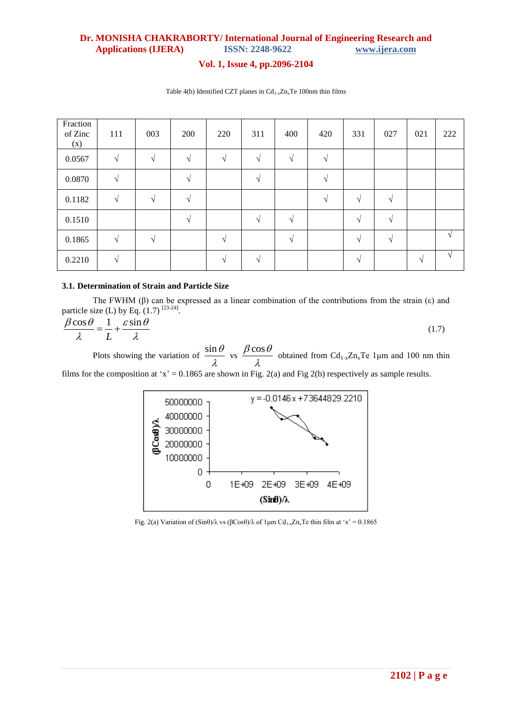# **Vol. 1, Issue 4, pp.2096-2104**

| Fraction<br>of Zinc<br>(x) | 111                | 003        | 200           | 220                | 311      | 400      | 420      | 331           | 027           | 021        | 222        |
|----------------------------|--------------------|------------|---------------|--------------------|----------|----------|----------|---------------|---------------|------------|------------|
| 0.0567                     | $\mathcal{L}$      | $\sim$     | $\mathcal N$  | $\sqrt{ }$         |          |          | $\sim$   |               |               |            |            |
| 0.0870                     | $\mathbf{\Lambda}$ |            |               |                    |          |          | $\Delta$ |               |               |            |            |
| 0.1182                     | $\sqrt{ }$         | $\Delta$   | $\Delta$      |                    |          |          | $\Delta$ | $\Delta$      | $\mathcal{N}$ |            |            |
| 0.1510                     |                    |            | $\mathcal{N}$ |                    | $\Delta$ | $\Delta$ |          | $\Delta$      | $\mathcal{N}$ |            |            |
| 0.1865                     | $\Delta$           | $\sqrt{ }$ |               | $\sim$             |          |          |          | $\Delta$      | $\mathcal{N}$ |            | $\sqrt{ }$ |
| 0.2210                     |                    |            |               | $\mathbf{\Lambda}$ |          |          |          | $\mathcal{L}$ |               | $\sqrt{ }$ | V          |

Table 4(b) Identified CZT planes in  $Cd_{1-x}Zn_xTe$  100nm thin films

### **3.1. Determination of Strain and Particle Size**

The FWHM ( $\beta$ ) can be expressed as a linear combination of the contributions from the strain (ε) and

particle size (L) by Eq. (1.7)<sup>[23-24]</sup>.  
\n
$$
\frac{\beta \cos \theta}{\lambda} = \frac{1}{L} + \frac{\varepsilon \sin \theta}{\lambda}
$$
\n(1.7)

Plots showing the variation of  $\frac{\sin \theta}{\sin \theta}$  $rac{\ln \theta}{\lambda}$  vs  $rac{\beta \cos \theta}{\lambda}$ obtained from Cd<sub>1-x</sub>Zn<sub>x</sub>Te 1<sub>µ</sub>m and 100 nm thin  $\lambda$ films for the composition at 'x' = 0.1865 are shown in Fig. 2(a) and Fig 2(b) respectively as sample results.



Fig. 2(a) Variation of  $(Sinθ)/λ$  vs  $(βCosθ)/λ$  of  $1μm Cd<sub>1-x</sub>Zn<sub>x</sub>Te thin film at 'x' = 0.1865$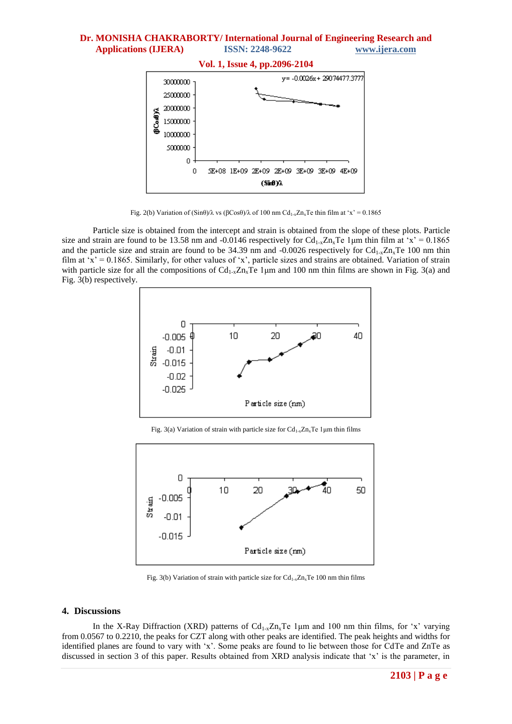

**Vol. 1, Issue 4, pp.2096-2104**

Fig. 2(b) Variation of (Sinθ)/λ vs (βCosθ)/λ of 100 nm Cd<sub>1-x</sub>Zn<sub>x</sub>Te thin film at 'x' = 0.1865

Particle size is obtained from the intercept and strain is obtained from the slope of these plots. Particle size and strain are found to be 13.58 nm and -0.0146 respectively for  $Cd_{1-x}Z_{1x}Te$  1 µm thin film at 'x' = 0.1865 and the particle size and strain are found to be 34.39 nm and -0.0026 respectively for  $Cd_{1-x}Zn_xTe$  100 nm thin film at ' $x' = 0.1865$ . Similarly, for other values of 'x', particle sizes and strains are obtained. Variation of strain with particle size for all the compositions of  $Cd_{1-x}Z_{n-x}Te$  1µm and 100 nm thin films are shown in Fig. 3(a) and Fig. 3(b) respectively.



Fig. 3(a) Variation of strain with particle size for  $Cd_{1-x}Zn_xTe$  1 µm thin films



Fig. 3(b) Variation of strain with particle size for  $Cd_{1-x}Zn_xTe$  100 nm thin films

#### **4. Discussions**

In the X-Ray Diffraction (XRD) patterns of  $Cd_{1-x}Z_n$ , Te 1 µm and 100 nm thin films, for 'x' varying from 0.0567 to 0.2210, the peaks for CZT along with other peaks are identified. The peak heights and widths for identified planes are found to vary with 'x'. Some peaks are found to lie between those for CdTe and ZnTe as discussed in section 3 of this paper. Results obtained from XRD analysis indicate that 'x' is the parameter, in